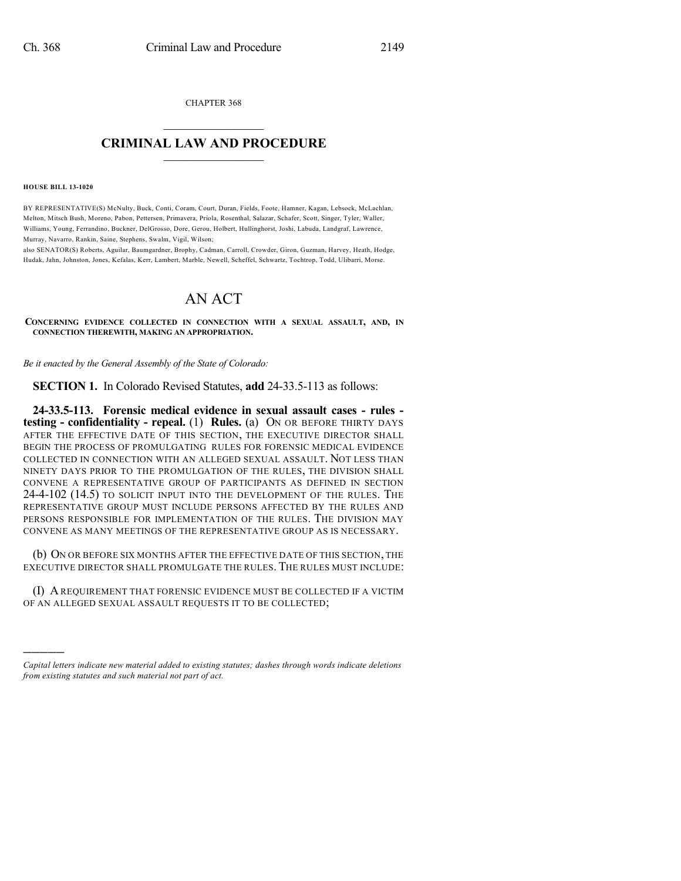CHAPTER 368  $\overline{\phantom{a}}$  . The set of the set of the set of the set of the set of the set of the set of the set of the set of the set of the set of the set of the set of the set of the set of the set of the set of the set of the set o

## **CRIMINAL LAW AND PROCEDURE**  $\frac{1}{2}$  ,  $\frac{1}{2}$  ,  $\frac{1}{2}$  ,  $\frac{1}{2}$  ,  $\frac{1}{2}$  ,  $\frac{1}{2}$  ,  $\frac{1}{2}$

**HOUSE BILL 13-1020**

)))))

BY REPRESENTATIVE(S) McNulty, Buck, Conti, Coram, Court, Duran, Fields, Foote, Hamner, Kagan, Lebsock, McLachlan, Melton, Mitsch Bush, Moreno, Pabon, Pettersen, Primavera, Priola, Rosenthal, Salazar, Schafer, Scott, Singer, Tyler, Waller, Williams, Young, Ferrandino, Buckner, DelGrosso, Dore, Gerou, Holbert, Hullinghorst, Joshi, Labuda, Landgraf, Lawrence, Murray, Navarro, Rankin, Saine, Stephens, Swalm, Vigil, Wilson;

also SENATOR(S) Roberts, Aguilar, Baumgardner, Brophy, Cadman, Carroll, Crowder, Giron, Guzman, Harvey, Heath, Hodge, Hudak, Jahn, Johnston, Jones, Kefalas, Kerr, Lambert, Marble, Newell, Scheffel, Schwartz, Tochtrop, Todd, Ulibarri, Morse.

## AN ACT

**CONCERNING EVIDENCE COLLECTED IN CONNECTION WITH A SEXUAL ASSAULT, AND, IN CONNECTION THEREWITH, MAKING AN APPROPRIATION.**

*Be it enacted by the General Assembly of the State of Colorado:*

**SECTION 1.** In Colorado Revised Statutes, **add** 24-33.5-113 as follows:

**24-33.5-113. Forensic medical evidence in sexual assault cases - rules testing - confidentiality - repeal.** (1) **Rules.** (a) ON OR BEFORE THIRTY DAYS AFTER THE EFFECTIVE DATE OF THIS SECTION, THE EXECUTIVE DIRECTOR SHALL BEGIN THE PROCESS OF PROMULGATING RULES FOR FORENSIC MEDICAL EVIDENCE COLLECTED IN CONNECTION WITH AN ALLEGED SEXUAL ASSAULT. NOT LESS THAN NINETY DAYS PRIOR TO THE PROMULGATION OF THE RULES, THE DIVISION SHALL CONVENE A REPRESENTATIVE GROUP OF PARTICIPANTS AS DEFINED IN SECTION 24-4-102 (14.5) TO SOLICIT INPUT INTO THE DEVELOPMENT OF THE RULES. THE REPRESENTATIVE GROUP MUST INCLUDE PERSONS AFFECTED BY THE RULES AND PERSONS RESPONSIBLE FOR IMPLEMENTATION OF THE RULES. THE DIVISION MAY CONVENE AS MANY MEETINGS OF THE REPRESENTATIVE GROUP AS IS NECESSARY.

(b) ON OR BEFORE SIX MONTHS AFTER THE EFFECTIVE DATE OF THIS SECTION, THE EXECUTIVE DIRECTOR SHALL PROMULGATE THE RULES. THE RULES MUST INCLUDE:

(I) A REQUIREMENT THAT FORENSIC EVIDENCE MUST BE COLLECTED IF A VICTIM OF AN ALLEGED SEXUAL ASSAULT REQUESTS IT TO BE COLLECTED;

*Capital letters indicate new material added to existing statutes; dashes through words indicate deletions from existing statutes and such material not part of act.*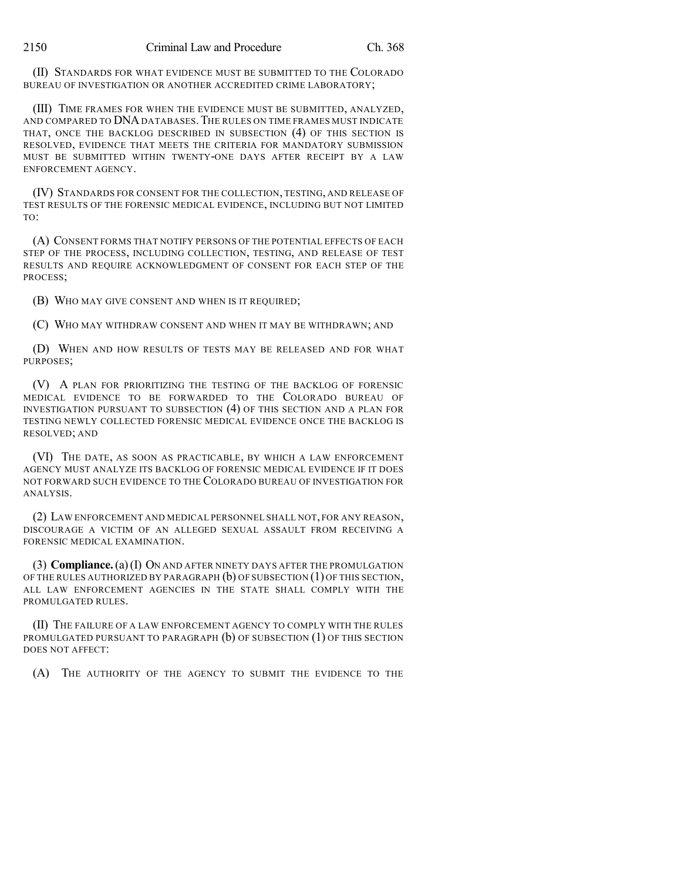(II) STANDARDS FOR WHAT EVIDENCE MUST BE SUBMITTED TO THE COLORADO BUREAU OF INVESTIGATION OR ANOTHER ACCREDITED CRIME LABORATORY;

(III) TIME FRAMES FOR WHEN THE EVIDENCE MUST BE SUBMITTED, ANALYZED, AND COMPARED TO DNADATABASES.THE RULES ON TIME FRAMES MUST INDICATE THAT, ONCE THE BACKLOG DESCRIBED IN SUBSECTION (4) OF THIS SECTION IS RESOLVED, EVIDENCE THAT MEETS THE CRITERIA FOR MANDATORY SUBMISSION MUST BE SUBMITTED WITHIN TWENTY-ONE DAYS AFTER RECEIPT BY A LAW ENFORCEMENT AGENCY.

(IV) STANDARDS FOR CONSENT FOR THE COLLECTION, TESTING, AND RELEASE OF TEST RESULTS OF THE FORENSIC MEDICAL EVIDENCE, INCLUDING BUT NOT LIMITED TO:

(A) CONSENT FORMS THAT NOTIFY PERSONS OF THE POTENTIAL EFFECTS OF EACH STEP OF THE PROCESS, INCLUDING COLLECTION, TESTING, AND RELEASE OF TEST RESULTS AND REQUIRE ACKNOWLEDGMENT OF CONSENT FOR EACH STEP OF THE PROCESS;

(B) WHO MAY GIVE CONSENT AND WHEN IS IT REQUIRED;

(C) WHO MAY WITHDRAW CONSENT AND WHEN IT MAY BE WITHDRAWN; AND

(D) WHEN AND HOW RESULTS OF TESTS MAY BE RELEASED AND FOR WHAT PURPOSES;

(V) A PLAN FOR PRIORITIZING THE TESTING OF THE BACKLOG OF FORENSIC MEDICAL EVIDENCE TO BE FORWARDED TO THE COLORADO BUREAU OF INVESTIGATION PURSUANT TO SUBSECTION (4) OF THIS SECTION AND A PLAN FOR TESTING NEWLY COLLECTED FORENSIC MEDICAL EVIDENCE ONCE THE BACKLOG IS RESOLVED; AND

(VI) THE DATE, AS SOON AS PRACTICABLE, BY WHICH A LAW ENFORCEMENT AGENCY MUST ANALYZE ITS BACKLOG OF FORENSIC MEDICAL EVIDENCE IF IT DOES NOT FORWARD SUCH EVIDENCE TO THE COLORADO BUREAU OF INVESTIGATION FOR ANALYSIS.

(2) LAW ENFORCEMENT AND MEDICAL PERSONNEL SHALL NOT, FOR ANY REASON, DISCOURAGE A VICTIM OF AN ALLEGED SEXUAL ASSAULT FROM RECEIVING A FORENSIC MEDICAL EXAMINATION.

(3) **Compliance.**(a)(I) ON AND AFTER NINETY DAYS AFTER THE PROMULGATION OF THE RULES AUTHORIZED BY PARAGRAPH (b) OF SUBSECTION (1) OF THIS SECTION, ALL LAW ENFORCEMENT AGENCIES IN THE STATE SHALL COMPLY WITH THE PROMULGATED RULES.

(II) THE FAILURE OF A LAW ENFORCEMENT AGENCY TO COMPLY WITH THE RULES PROMULGATED PURSUANT TO PARAGRAPH  $(b)$  OF SUBSECTION  $(1)$  OF THIS SECTION DOES NOT AFFECT:

(A) THE AUTHORITY OF THE AGENCY TO SUBMIT THE EVIDENCE TO THE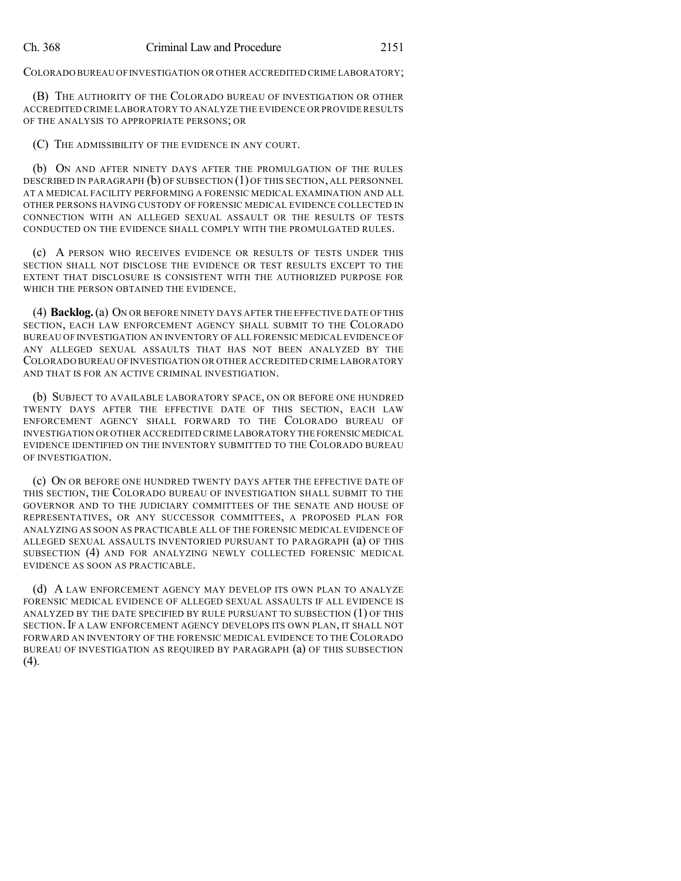COLORADO BUREAU OFINVESTIGATION OR OTHER ACCREDITED CRIME LABORATORY;

(B) THE AUTHORITY OF THE COLORADO BUREAU OF INVESTIGATION OR OTHER ACCREDITED CRIME LABORATORY TO ANALYZE THE EVIDENCE OR PROVIDE RESULTS OF THE ANALYSIS TO APPROPRIATE PERSONS; OR

(C) THE ADMISSIBILITY OF THE EVIDENCE IN ANY COURT.

(b) ON AND AFTER NINETY DAYS AFTER THE PROMULGATION OF THE RULES DESCRIBED IN PARAGRAPH (b) OF SUBSECTION (1) OF THIS SECTION, ALL PERSONNEL AT A MEDICAL FACILITY PERFORMING A FORENSIC MEDICAL EXAMINATION AND ALL OTHER PERSONS HAVING CUSTODY OF FORENSIC MEDICAL EVIDENCE COLLECTED IN CONNECTION WITH AN ALLEGED SEXUAL ASSAULT OR THE RESULTS OF TESTS CONDUCTED ON THE EVIDENCE SHALL COMPLY WITH THE PROMULGATED RULES.

(c) A PERSON WHO RECEIVES EVIDENCE OR RESULTS OF TESTS UNDER THIS SECTION SHALL NOT DISCLOSE THE EVIDENCE OR TEST RESULTS EXCEPT TO THE EXTENT THAT DISCLOSURE IS CONSISTENT WITH THE AUTHORIZED PURPOSE FOR WHICH THE PERSON OBTAINED THE EVIDENCE.

(4) **Backlog.**(a) ON OR BEFORE NINETY DAYS AFTER THE EFFECTIVE DATE OF THIS SECTION, EACH LAW ENFORCEMENT AGENCY SHALL SUBMIT TO THE COLORADO BUREAU OF INVESTIGATION AN INVENTORY OF ALL FORENSIC MEDICAL EVIDENCE OF ANY ALLEGED SEXUAL ASSAULTS THAT HAS NOT BEEN ANALYZED BY THE COLORADO BUREAU OFINVESTIGATION OR OTHER ACCREDITED CRIME LABORATORY AND THAT IS FOR AN ACTIVE CRIMINAL INVESTIGATION.

(b) SUBJECT TO AVAILABLE LABORATORY SPACE, ON OR BEFORE ONE HUNDRED TWENTY DAYS AFTER THE EFFECTIVE DATE OF THIS SECTION, EACH LAW ENFORCEMENT AGENCY SHALL FORWARD TO THE COLORADO BUREAU OF INVESTIGATION OR OTHER ACCREDITED CRIME LABORATORY THE FORENSIC MEDICAL EVIDENCE IDENTIFIED ON THE INVENTORY SUBMITTED TO THE COLORADO BUREAU OF INVESTIGATION.

(c) ON OR BEFORE ONE HUNDRED TWENTY DAYS AFTER THE EFFECTIVE DATE OF THIS SECTION, THE COLORADO BUREAU OF INVESTIGATION SHALL SUBMIT TO THE GOVERNOR AND TO THE JUDICIARY COMMITTEES OF THE SENATE AND HOUSE OF REPRESENTATIVES, OR ANY SUCCESSOR COMMITTEES, A PROPOSED PLAN FOR ANALYZING AS SOON AS PRACTICABLE ALL OF THE FORENSIC MEDICAL EVIDENCE OF ALLEGED SEXUAL ASSAULTS INVENTORIED PURSUANT TO PARAGRAPH (a) OF THIS SUBSECTION (4) AND FOR ANALYZING NEWLY COLLECTED FORENSIC MEDICAL EVIDENCE AS SOON AS PRACTICABLE.

(d) A LAW ENFORCEMENT AGENCY MAY DEVELOP ITS OWN PLAN TO ANALYZE FORENSIC MEDICAL EVIDENCE OF ALLEGED SEXUAL ASSAULTS IF ALL EVIDENCE IS ANALYZED BY THE DATE SPECIFIED BY RULE PURSUANT TO SUBSECTION (1) OF THIS SECTION.IF A LAW ENFORCEMENT AGENCY DEVELOPS ITS OWN PLAN, IT SHALL NOT FORWARD AN INVENTORY OF THE FORENSIC MEDICAL EVIDENCE TO THE COLORADO BUREAU OF INVESTIGATION AS REQUIRED BY PARAGRAPH (a) OF THIS SUBSECTION (4).